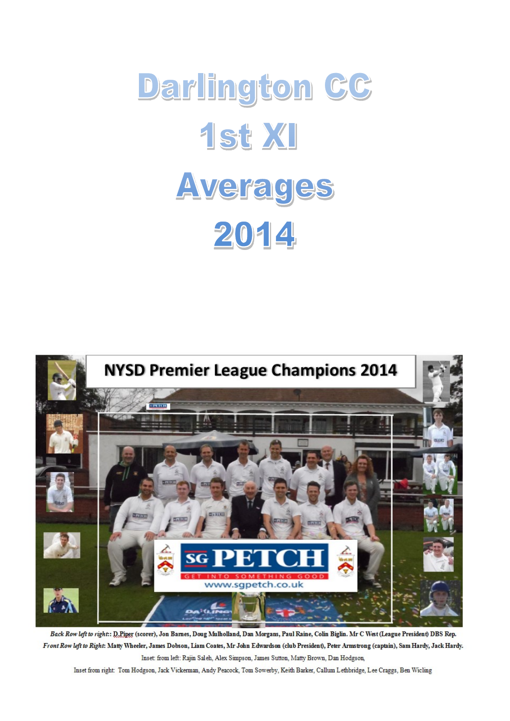



Back Row left to right: D.Piper (scorer), Jon Bames, Doug Mulholland, Dan Morgans, Paul Raine, Colin Biglin. Mr C West (League President) DBS Rep. Front Row left to Right: Matty Wheeler, James Dobson, Liam Coates, Mr John Edwardson (club President), Peter Armstrong (captain), Sam Hardy, Jack Hardy. Inset: from left: Rajin Saleh, Alex Simpson, James Sutton, Matty Brown, Dan Hodgson,

Inset from right: Tom Hodgson, Jack Vickerman, Andy Peacock, Tom Sowerby, Keith Barker, Callum Lethbridge, Lee Craggs, Ben Wicling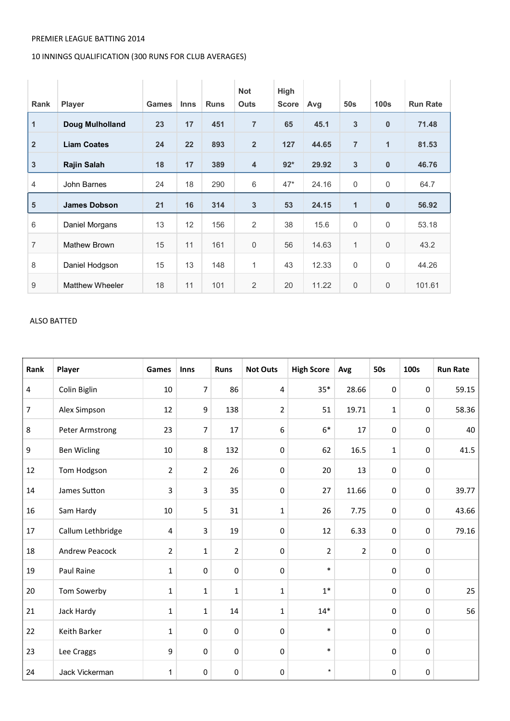### PREMIER LEAGUE BATTING 2014

# 10 INNINGS QUALIFICATION (300 RUNS FOR CLUB AVERAGES)

| <b>Rank</b>    | <b>Player</b>          | <b>Games</b> | <b>Inns</b> | <b>Runs</b> | <b>Not</b><br><b>Outs</b> | High<br><b>Score</b> | Avg   | 50 <sub>s</sub> | 100 <sub>s</sub> | <b>Run Rate</b> |
|----------------|------------------------|--------------|-------------|-------------|---------------------------|----------------------|-------|-----------------|------------------|-----------------|
| $\mathbf{1}$   | Doug Mulholland        | 23           | 17          | 451         | $\overline{7}$            | 65                   | 45.1  | $\mathbf{3}$    | $\bf{0}$         | 71.48           |
| $\overline{2}$ | <b>Liam Coates</b>     | 24           | 22          | 893         | $\overline{2}$            | 127                  | 44.65 | $\overline{7}$  | $\overline{1}$   | 81.53           |
| $\mathbf{3}$   | <b>Rajin Salah</b>     | 18           | 17          | 389         | $\overline{4}$            | $92*$                | 29.92 | $\mathbf{3}$    | $\pmb{0}$        | 46.76           |
| 4              | John Barnes            | 24           | 18          | 290         | 6                         | $47*$                | 24.16 | $\mathbf 0$     | 0                | 64.7            |
| $5\phantom{1}$ | <b>James Dobson</b>    | 21           | 16          | 314         | $\mathbf{3}$              | 53                   | 24.15 | $\mathbf{1}$    | $\bf{0}$         | 56.92           |
| 6              | Daniel Morgans         | 13           | 12          | 156         | 2                         | 38                   | 15.6  | $\mathbf 0$     | 0                | 53.18           |
| 7              | Mathew Brown           | 15           | 11          | 161         | $\boldsymbol{0}$          | 56                   | 14.63 | $\mathbf{1}$    | $\mathbf 0$      | 43.2            |
| 8              | Daniel Hodgson         | 15           | 13          | 148         | $\mathbf{1}$              | 43                   | 12.33 | $\mathbf 0$     | 0                | 44.26           |
| 9              | <b>Matthew Wheeler</b> | 18           | 11          | 101         | $\overline{2}$            | 20                   | 11.22 | $\mathbf 0$     | $\mathbf 0$      | 101.61          |

### ALSO BATTED

| Rank             | Player                | Games          | Inns         | <b>Runs</b>    | <b>Not Outs</b>  | <b>High Score</b> | Avg   | <b>50s</b>   | 100s      | <b>Run Rate</b> |
|------------------|-----------------------|----------------|--------------|----------------|------------------|-------------------|-------|--------------|-----------|-----------------|
| 4                | Colin Biglin          | 10             | 7            | 86             | 4                | $35*$             | 28.66 | $\pmb{0}$    | 0         | 59.15           |
| $\overline{7}$   | Alex Simpson          | 12             | 9            | 138            | 2                | 51                | 19.71 | $\mathbf{1}$ | $\pmb{0}$ | 58.36           |
| 8                | Peter Armstrong       | 23             | 7            | 17             | 6                | $6*$              | 17    | $\pmb{0}$    | 0         | 40              |
| $\boldsymbol{9}$ | <b>Ben Wicling</b>    | $10\,$         | 8            | 132            | $\boldsymbol{0}$ | 62                | 16.5  | $\mathbf{1}$ | 0         | 41.5            |
| 12               | Tom Hodgson           | $\overline{2}$ | $\mathbf 2$  | 26             | $\boldsymbol{0}$ | 20                | 13    | $\pmb{0}$    | $\pmb{0}$ |                 |
| 14               | James Sutton          | 3              | 3            | 35             | $\boldsymbol{0}$ | 27                | 11.66 | 0            | 0         | 39.77           |
| 16               | Sam Hardy             | 10             | 5            | 31             | $\mathbf 1$      | 26                | 7.75  | $\pmb{0}$    | 0         | 43.66           |
| 17               | Callum Lethbridge     | 4              | 3            | 19             | $\pmb{0}$        | 12                | 6.33  | $\pmb{0}$    | $\pmb{0}$ | 79.16           |
| 18               | <b>Andrew Peacock</b> | $\overline{2}$ | $\mathbf{1}$ | $\overline{2}$ | $\pmb{0}$        | $\overline{2}$    | 2     | $\pmb{0}$    | $\pmb{0}$ |                 |
| 19               | Paul Raine            | $\mathbf{1}$   | $\mathbf 0$  | $\mathbf 0$    | $\mathbf 0$      | $\ast$            |       | 0            | 0         |                 |
| 20               | Tom Sowerby           | $\mathbf{1}$   | $\mathbf{1}$ | $\mathbf{1}$   | $\mathbf{1}$     | $1*$              |       | $\pmb{0}$    | 0         | 25              |
| 21               | Jack Hardy            | $\mathbf{1}$   | $\mathbf{1}$ | 14             | $\mathbf 1$      | $14*$             |       | $\mathbf 0$  | $\pmb{0}$ | 56              |
| 22               | Keith Barker          | 1              | $\mathbf 0$  | $\mathbf 0$    | $\boldsymbol{0}$ | $\ast$            |       | 0            | $\pmb{0}$ |                 |
| 23               | Lee Craggs            | 9              | $\pmb{0}$    | $\pmb{0}$      | $\pmb{0}$        | $\ast$            |       | 0            | 0         |                 |
| 24               | Jack Vickerman        | 1              | $\mathbf 0$  | $\mathsf 0$    | $\pmb{0}$        | $\star$           |       | 0            | 0         |                 |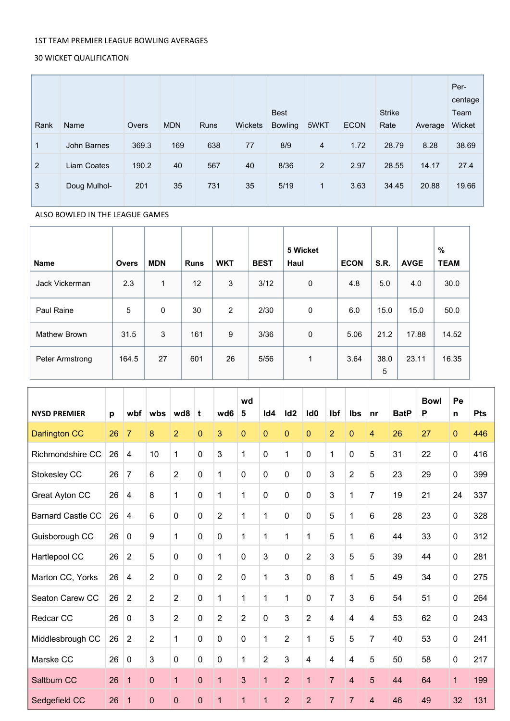## 1ST TEAM PREMIER LEAGUE BOWLING AVERAGES

## 30 WICKET QUALIFICATION

| Rank         | Name         | Overs | <b>MDN</b> | Runs | <b>Wickets</b> | <b>Best</b><br><b>Bowling</b> | 5WKT           | <b>ECON</b> | <b>Strike</b><br>Rate | Average | Per-<br>centage<br>Team<br>Wicket |
|--------------|--------------|-------|------------|------|----------------|-------------------------------|----------------|-------------|-----------------------|---------|-----------------------------------|
| $\mathbf{1}$ | John Barnes  | 369.3 | 169        | 638  | 77             | 8/9                           | 4              | 1.72        | 28.79                 | 8.28    | 38.69                             |
| 2            | Liam Coates  | 190.2 | 40         | 567  | 40             | 8/36                          | $\overline{2}$ | 2.97        | 28.55                 | 14.17   | 27.4                              |
| 3            | Doug Mulhol- | 201   | 35         | 731  | 35             | 5/19                          | $\mathbf{1}$   | 3.63        | 34.45                 | 20.88   | 19.66                             |

## ALSO BOWLED IN THE LEAGUE GAMES

|                     |              |            |             |            |             | 5 Wicket |             |             |             | $\%$        |
|---------------------|--------------|------------|-------------|------------|-------------|----------|-------------|-------------|-------------|-------------|
| <b>Name</b>         | <b>Overs</b> | <b>MDN</b> | <b>Runs</b> | <b>WKT</b> | <b>BEST</b> | Haul     | <b>ECON</b> | <b>S.R.</b> | <b>AVGE</b> | <b>TEAM</b> |
| Jack Vickerman      | 2.3          | 1          | 12          | 3          | 3/12        | 0        | 4.8         | 5.0         | 4.0         | 30.0        |
| Paul Raine          | 5            | 0          | 30          | 2          | 2/30        | 0        | 6.0         | 15.0        | 15.0        | 50.0        |
| <b>Mathew Brown</b> | 31.5         | 3          | 161         | 9          | 3/36        | 0        | 5.06        | 21.2        | 17.88       | 14.52       |
| Peter Armstrong     | 164.5        | 27         | 601         | 26         | 5/56        | 1        | 3.64        | 38.0<br>5   | 23.11       | 16.35       |

| <b>NYSD PREMIER</b>      | p  | wbf                     | wbs            | wd8            | t           | wd6            | wd<br>5        | Id4            | Id <sub>2</sub> | Id <sub>0</sub>         | Ibf                     | Ibs            | nr             | <b>BatP</b> | <b>Bowl</b><br>P | Pe<br>n      | <b>Pts</b> |
|--------------------------|----|-------------------------|----------------|----------------|-------------|----------------|----------------|----------------|-----------------|-------------------------|-------------------------|----------------|----------------|-------------|------------------|--------------|------------|
| <b>Darlington CC</b>     | 26 | $\overline{7}$          | 8              | $\overline{2}$ | $\Omega$    | 3              | $\mathbf{0}$   | 0              | $\mathbf{0}$    | $\Omega$                | $\overline{2}$          | 0              | 4              | 26          | 27               | $\mathbf{0}$ | 446        |
| Richmondshire CC         | 26 | $\overline{\mathbf{4}}$ | 10             | $\mathbf{1}$   | $\mathbf 0$ | 3              | $\mathbf{1}$   | 0              | $\mathbf{1}$    | $\mathbf 0$             | $\mathbf{1}$            | 0              | 5              | 31          | 22               | $\mathbf 0$  | 416        |
| Stokesley CC             | 26 | $\overline{7}$          | 6              | $\overline{2}$ | $\mathbf 0$ | 1              | $\pmb{0}$      | 0              | 0               | $\mathbf 0$             | 3                       | $\overline{2}$ | 5              | 23          | 29               | 0            | 399        |
| Great Ayton CC           | 26 | $\overline{\mathbf{4}}$ | 8              | $\mathbf{1}$   | $\mathbf 0$ | 1              | 1              | 0              | 0               | $\mathbf 0$             | 3                       | $\mathbf{1}$   | $\overline{7}$ | 19          | 21               | 24           | 337        |
| <b>Barnard Castle CC</b> | 26 | $\overline{\mathbf{4}}$ | 6              | 0              | $\mathbf 0$ | $\overline{2}$ | 1              | $\mathbf{1}$   | 0               | 0                       | 5                       | 1              | 6              | 28          | 23               | 0            | 328        |
| Guisborough CC           | 26 | $\mathbf 0$             | 9              | $\mathbf{1}$   | $\mathbf 0$ | $\mathbf 0$    | 1              | 1              | 1               | 1                       | 5                       | 1              | 6              | 44          | 33               | 0            | 312        |
| Hartlepool CC            | 26 | $\overline{2}$          | 5              | 0              | $\mathbf 0$ | 1              | $\mathbf 0$    | 3              | 0               | $\overline{2}$          | 3                       | 5              | 5              | 39          | 44               | $\mathbf 0$  | 281        |
| Marton CC, Yorks         | 26 | $\overline{\mathbf{4}}$ | $\overline{2}$ | $\mathbf 0$    | $\mathbf 0$ | $\overline{2}$ | $\mathbf 0$    | $\mathbf{1}$   | 3               | 0                       | 8                       | $\mathbf{1}$   | 5              | 49          | 34               | 0            | 275        |
| Seaton Carew CC          | 26 | $\overline{2}$          | $\overline{2}$ | $\overline{2}$ | $\mathbf 0$ | 1              | $\mathbf{1}$   | $\mathbf{1}$   | $\mathbf{1}$    | 0                       | $\overline{7}$          | 3              | 6              | 54          | 51               | $\mathbf 0$  | 264        |
| Redcar CC                | 26 | $\mathbf 0$             | 3              | $\overline{2}$ | $\mathbf 0$ | $\overline{2}$ | $\overline{2}$ | 0              | 3               | $\overline{2}$          | $\overline{\mathbf{4}}$ | $\overline{4}$ | 4              | 53          | 62               | 0            | 243        |
| Middlesbrough CC         | 26 | $\overline{2}$          | $\overline{2}$ | 1              | $\mathbf 0$ | 0              | $\mathbf 0$    | $\mathbf{1}$   | $\overline{2}$  | 1                       | 5                       | 5              | $\overline{7}$ | 40          | 53               | $\mathbf 0$  | 241        |
| Marske CC                | 26 | $\mathbf 0$             | 3              | 0              | $\mathbf 0$ | 0              | 1              | 2              | 3               | $\overline{\mathbf{4}}$ | $\overline{\mathbf{4}}$ | 4              | 5              | 50          | 58               | 0            | 217        |
| Saltburn CC              | 26 | $\overline{1}$          | 0              | 1              | $\mathbf 0$ | 1              | 3              | $\overline{1}$ | $\overline{2}$  | 1                       | $\overline{7}$          | 4              | 5              | 44          | 64               | 1            | 199        |
| Sedgefield CC            | 26 | $\mathbf 1$             | 0              | 0              | $\pmb{0}$   | 1              | 1              | $\mathbf{1}$   | $\overline{2}$  | $\overline{2}$          | $\overline{7}$          | $\overline{7}$ | 4              | 46          | 49               | 32           | 131        |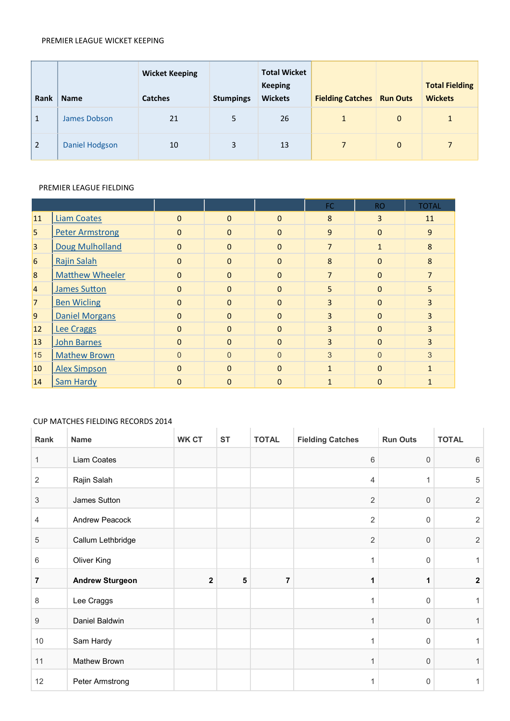#### PREMIER LEAGUE WICKET KEEPING

| Rank           | <b>Name</b>           | <b>Wicket Keeping</b><br><b>Catches</b> | <b>Stumpings</b> | <b>Total Wicket</b><br><b>Keeping</b><br><b>Wickets</b> | <b>Fielding Catches</b> | <b>Run Outs</b> | <b>Total Fielding</b><br><b>Wickets</b> |
|----------------|-----------------------|-----------------------------------------|------------------|---------------------------------------------------------|-------------------------|-----------------|-----------------------------------------|
| $\mathbf{1}$   | James Dobson          | 21                                      | 5                | 26                                                      |                         | $\overline{0}$  | $\mathbf{1}$                            |
| $\overline{2}$ | <b>Daniel Hodgson</b> | 10                                      | 3                | 13                                                      | 7                       | $\mathbf{0}$    | $\overline{7}$                          |

### PREMIER LEAGUE FIELDING

|                |                        |                |          |                | <b>FC</b>      | RO.          | <b>TOTAL</b>   |
|----------------|------------------------|----------------|----------|----------------|----------------|--------------|----------------|
| <b>11</b>      | <b>Liam Coates</b>     | $\overline{0}$ | $\Omega$ | $\Omega$       | 8              | 3            | 11             |
| 5              | <b>Peter Armstrong</b> | $\overline{0}$ | $\Omega$ | $\Omega$       | 9              | $\Omega$     | 9              |
| $\overline{3}$ | <b>Doug Mulholland</b> | $\mathbf{0}$   | $\Omega$ | $\Omega$       | $\overline{7}$ | $\mathbf{1}$ | 8              |
| 6              | <b>Rajin Salah</b>     | $\overline{0}$ | $\Omega$ | $\Omega$       | 8              | $\Omega$     | 8              |
| $\overline{8}$ | <b>Matthew Wheeler</b> | $\overline{0}$ | $\Omega$ | $\Omega$       | $\overline{7}$ | $\Omega$     | $\overline{7}$ |
| $\overline{4}$ | <b>James Sutton</b>    | $\overline{0}$ | $\Omega$ | $\Omega$       | 5              | $\Omega$     | 5              |
| $\overline{7}$ | <b>Ben Wicling</b>     | $\mathbf{0}$   | $\Omega$ | $\Omega$       | 3              | $\Omega$     | 3              |
| $\overline{9}$ | <b>Daniel Morgans</b>  | $\Omega$       | $\Omega$ | $\Omega$       | 3              | $\Omega$     | 3              |
| <b>12</b>      | <b>Lee Craggs</b>      | $\overline{0}$ | $\Omega$ | $\Omega$       | 3              | $\Omega$     | 3              |
| 13             | <b>John Barnes</b>     | $\overline{0}$ | $\Omega$ | $\Omega$       | $\overline{3}$ | $\Omega$     | 3              |
| 15             | <b>Mathew Brown</b>    | $\overline{0}$ | $\Omega$ | $\overline{0}$ | 3              | $\Omega$     | 3              |
| 10             | <b>Alex Simpson</b>    | $\Omega$       | $\Omega$ | $\Omega$       | $\mathbf{1}$   | $\Omega$     | $\mathbf{1}$   |
| 14             | Sam Hardy              | $\overline{0}$ | $\Omega$ | $\Omega$       | 1              | $\Omega$     |                |

# CUP MATCHES FIELDING RECORDS 2014

| Rank             | <b>Name</b>            | <b>WK CT</b> | <b>ST</b> | <b>TOTAL</b> | <b>Fielding Catches</b> | <b>Run Outs</b> | <b>TOTAL</b>   |
|------------------|------------------------|--------------|-----------|--------------|-------------------------|-----------------|----------------|
| $\mathbf{1}$     | Liam Coates            |              |           |              | 6                       | 0               | 6              |
| $\overline{2}$   | Rajin Salah            |              |           |              | 4                       | 1               | 5              |
| 3                | James Sutton           |              |           |              | $\overline{2}$          | 0               | $\overline{2}$ |
| 4                | Andrew Peacock         |              |           |              | $\overline{2}$          | $\Omega$        | $\overline{2}$ |
| 5                | Callum Lethbridge      |              |           |              | $\overline{2}$          | 0               | 2              |
| 6                | Oliver King            |              |           |              | 1                       | 0               |                |
| 7                | <b>Andrew Sturgeon</b> | $\mathbf{2}$ | ${\bf 5}$ | 7            | 1                       | 1               | $\overline{2}$ |
| 8                | Lee Craggs             |              |           |              | 1                       | $\Omega$        |                |
| $\boldsymbol{9}$ | Daniel Baldwin         |              |           |              | 1                       | 0               |                |
| 10               | Sam Hardy              |              |           |              | 1                       | 0               |                |
| 11               | Mathew Brown           |              |           |              | $\mathbf 1$             | 0               |                |
| 12               | Peter Armstrong        |              |           |              | 1                       | 0               |                |